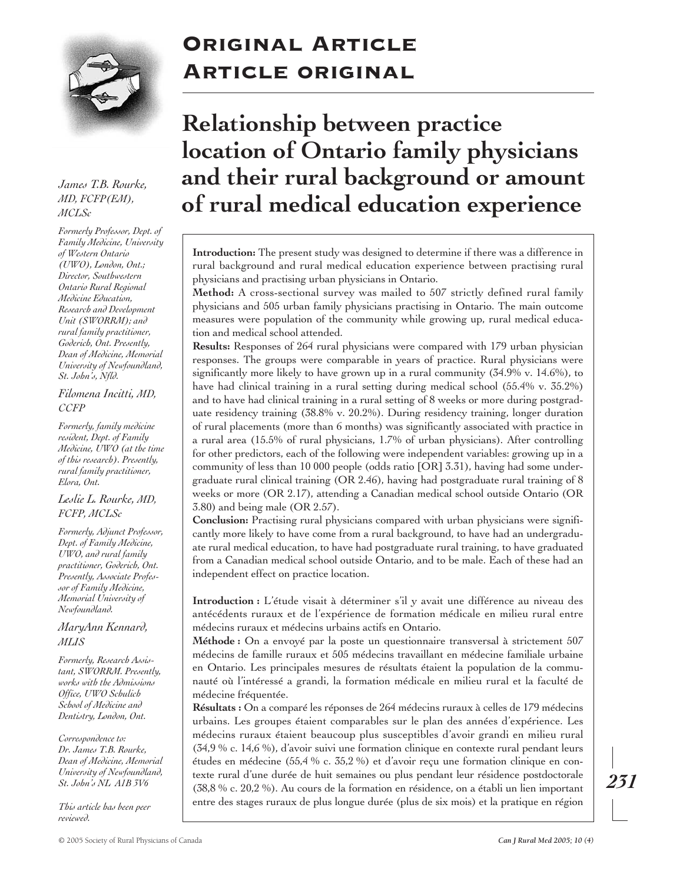

*James T.B. Rourke, MD, FCFP(EM), MCLSc*

*Formerly Professor, Dept. of Family Medicine, University of Western Ontario (UWO), London, Ont.; Director, Southwestern Ontario Rural Regional Medicine Education, Research and Development Unit (SWORRM); and rural family practitioner, Goderich, Ont. Presently, Dean of Medicine, Memorial University of Newfoundland, St. John's, Nfld.*

#### *Filomena Incitti, MD, CCFP*

*Formerly, family medicine resident, Dept. of Family Medicine, UWO (at the time of this research). Presently, rural family practitioner, Elora, Ont.*

#### *Leslie L. Rourke, MD, FCFP, MCLSc*

*Formerly, Adjunct Professor, Dept. of Family Medicine, UWO, and rural family practitioner, Goderich, Ont. Presently, Associate Professor of Family Medicine, Memorial University of Newfoundland.*

## *MaryAnn Kennard, MLIS*

*Formerly, Research Assistant, SWORRM. Presently, works with the Admissions Office, UWO Schulich School of Medicine and Dentistry, London, Ont.*

*Correspondence to: Dr. James T.B. Rourke, Dean of Medicine, Memorial University of Newfoundland, St. John's NL A1B 3V6*

*This article has been peer reviewed.*

# Original Article Article original

# **Relationship between practice location of Ontario family physicians and their rural background or amount of rural medical education experience**

**Introduction:** The present study was designed to determine if there was a difference in rural background and rural medical education experience between practising rural physicians and practising urban physicians in Ontario.

**Method:** A cross-sectional survey was mailed to 507 strictly defined rural family physicians and 505 urban family physicians practising in Ontario. The main outcome measures were population of the community while growing up, rural medical education and medical school attended.

**Results:** Responses of 264 rural physicians were compared with 179 urban physician responses. The groups were comparable in years of practice. Rural physicians were significantly more likely to have grown up in a rural community (34.9% v. 14.6%), to have had clinical training in a rural setting during medical school (55.4% v. 35.2%) and to have had clinical training in a rural setting of 8 weeks or more during postgraduate residency training (38.8% v. 20.2%). During residency training, longer duration of rural placements (more than 6 months) was significantly associated with practice in a rural area (15.5% of rural physicians, 1.7% of urban physicians). After controlling for other predictors, each of the following were independent variables: growing up in a community of less than 10 000 people (odds ratio [OR] 3.31), having had some undergraduate rural clinical training (OR 2.46), having had postgraduate rural training of 8 weeks or more (OR 2.17), attending a Canadian medical school outside Ontario (OR 3.80) and being male (OR 2.57).

**Conclusion:** Practising rural physicians compared with urban physicians were significantly more likely to have come from a rural background, to have had an undergraduate rural medical education, to have had postgraduate rural training, to have graduated from a Canadian medical school outside Ontario, and to be male. Each of these had an independent effect on practice location.

**Introduction :** L'étude visait à déterminer s'il y avait une différence au niveau des antécédents ruraux et de l'expérience de formation médicale en milieu rural entre médecins ruraux et médecins urbains actifs en Ontario.

**Méthode :** On a envoyé par la poste un questionnaire transversal à strictement 507 médecins de famille ruraux et 505 médecins travaillant en médecine familiale urbaine en Ontario. Les principales mesures de résultats étaient la population de la communauté où l'intéressé a grandi, la formation médicale en milieu rural et la faculté de médecine fréquentée.

**Résultats :** On a comparé les réponses de 264 médecins ruraux à celles de 179 médecins urbains. Les groupes étaient comparables sur le plan des années d'expérience. Les médecins ruraux étaient beaucoup plus susceptibles d'avoir grandi en milieu rural (34,9 % c. 14,6 %), d'avoir suivi une formation clinique en contexte rural pendant leurs études en médecine (55,4 % c. 35,2 %) et d'avoir reçu une formation clinique en contexte rural d'une durée de huit semaines ou plus pendant leur résidence postdoctorale (38,8 % c. 20,2 %). Au cours de la formation en résidence, on a établi un lien important entre des stages ruraux de plus longue durée (plus de six mois) et la pratique en région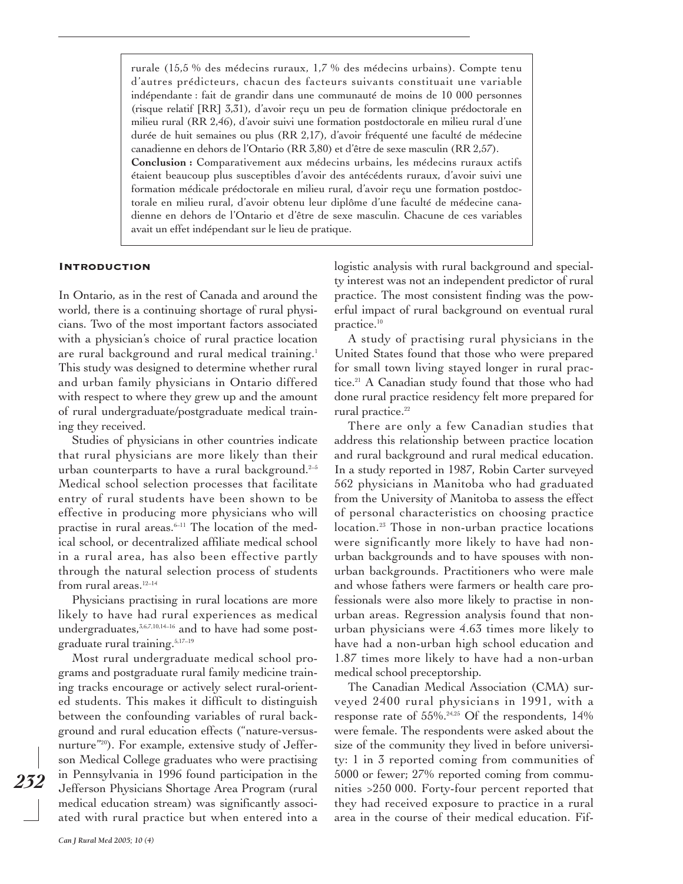rurale (15,5 % des médecins ruraux, 1,7 % des médecins urbains). Compte tenu d'autres prédicteurs, chacun des facteurs suivants constituait une variable indépendante : fait de grandir dans une communauté de moins de 10 000 personnes (risque relatif [RR] 3,31), d'avoir reçu un peu de formation clinique prédoctorale en milieu rural (RR 2,46), d'avoir suivi une formation postdoctorale en milieu rural d'une durée de huit semaines ou plus (RR 2,17), d'avoir fréquenté une faculté de médecine canadienne en dehors de l'Ontario (RR 3,80) et d'être de sexe masculin (RR 2,57). **Conclusion :** Comparativement aux médecins urbains, les médecins ruraux actifs étaient beaucoup plus susceptibles d'avoir des antécédents ruraux, d'avoir suivi une formation médicale prédoctorale en milieu rural, d'avoir reçu une formation postdoctorale en milieu rural, d'avoir obtenu leur diplôme d'une faculté de médecine cana-

dienne en dehors de l'Ontario et d'être de sexe masculin. Chacune de ces variables

Introduction

In Ontario, as in the rest of Canada and around the world, there is a continuing shortage of rural physicians. Two of the most important factors associated with a physician's choice of rural practice location are rural background and rural medical training.<sup>1</sup> This study was designed to determine whether rural and urban family physicians in Ontario differed with respect to where they grew up and the amount of rural undergraduate/postgraduate medical training they received.

avait un effet indépendant sur le lieu de pratique.

Studies of physicians in other countries indicate that rural physicians are more likely than their urban counterparts to have a rural background.<sup>2-5</sup> Medical school selection processes that facilitate entry of rural students have been shown to be effective in producing more physicians who will practise in rural areas.<sup>6-11</sup> The location of the medical school, or decentralized affiliate medical school in a rural area, has also been effective partly through the natural selection process of students from rural areas. $12-14$ 

Physicians practising in rural locations are more likely to have had rural experiences as medical undergraduates,<sup>3,6,7,10,14-16</sup> and to have had some postgraduate rural training.5,17–19

Most rural undergraduate medical school programs and postgraduate rural family medicine training tracks encourage or actively select rural-oriented students. This makes it difficult to distinguish between the confounding variables of rural background and rural education effects ("nature-versusnurture<sup>"20</sup>). For example, extensive study of Jefferson Medical College graduates who were practising in Pennsylvania in 1996 found participation in the Jefferson Physicians Shortage Area Program (rural medical education stream) was significantly associated with rural practice but when entered into a logistic analysis with rural background and specialty interest was not an independent predictor of rural practice. The most consistent finding was the powerful impact of rural background on eventual rural practice.<sup>10</sup>

A study of practising rural physicians in the United States found that those who were prepared for small town living stayed longer in rural practice.<sup>21</sup> A Canadian study found that those who had done rural practice residency felt more prepared for rural practice.<sup>22</sup>

There are only a few Canadian studies that address this relationship between practice location and rural background and rural medical education. In a study reported in 1987, Robin Carter surveyed 562 physicians in Manitoba who had graduated from the University of Manitoba to assess the effect of personal characteristics on choosing practice location.<sup>23</sup> Those in non-urban practice locations were significantly more likely to have had nonurban backgrounds and to have spouses with nonurban backgrounds. Practitioners who were male and whose fathers were farmers or health care professionals were also more likely to practise in nonurban areas. Regression analysis found that nonurban physicians were 4.63 times more likely to have had a non-urban high school education and 1.87 times more likely to have had a non-urban medical school preceptorship.

The Canadian Medical Association (CMA) surveyed 2400 rural physicians in 1991, with a response rate of  $55\%$ .<sup>24,25</sup> Of the respondents, 14% were female. The respondents were asked about the size of the community they lived in before university: 1 in 3 reported coming from communities of 5000 or fewer; 27% reported coming from communities >250 000. Forty-four percent reported that they had received exposure to practice in a rural area in the course of their medical education. Fif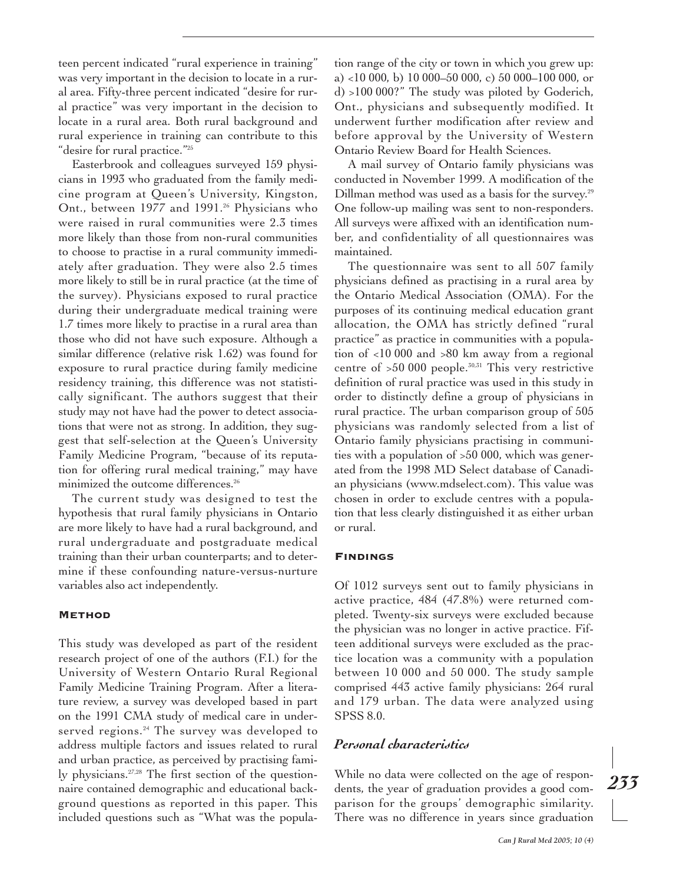teen percent indicated "rural experience in training" was very important in the decision to locate in a rural area. Fifty-three percent indicated "desire for rural practice" was very important in the decision to locate in a rural area. Both rural background and rural experience in training can contribute to this "desire for rural practice."25

Easterbrook and colleagues surveyed 159 physicians in 1993 who graduated from the family medicine program at Queen's University, Kingston, Ont., between 1977 and 1991.<sup>26</sup> Physicians who were raised in rural communities were 2.3 times more likely than those from non-rural communities to choose to practise in a rural community immediately after graduation. They were also 2.5 times more likely to still be in rural practice (at the time of the survey). Physicians exposed to rural practice during their undergraduate medical training were 1.7 times more likely to practise in a rural area than those who did not have such exposure. Although a similar difference (relative risk 1.62) was found for exposure to rural practice during family medicine residency training, this difference was not statistically significant. The authors suggest that their study may not have had the power to detect associations that were not as strong. In addition, they suggest that self-selection at the Queen's University Family Medicine Program, "because of its reputation for offering rural medical training," may have minimized the outcome differences.<sup>26</sup>

The current study was designed to test the hypothesis that rural family physicians in Ontario are more likely to have had a rural background, and rural undergraduate and postgraduate medical training than their urban counterparts; and to determine if these confounding nature-versus-nurture variables also act independently.

#### **METHOD**

This study was developed as part of the resident research project of one of the authors (F.I.) for the University of Western Ontario Rural Regional Family Medicine Training Program. After a literature review, a survey was developed based in part on the 1991 CMA study of medical care in underserved regions.<sup>24</sup> The survey was developed to address multiple factors and issues related to rural and urban practice, as perceived by practising family physicians.27,28 The first section of the questionnaire contained demographic and educational background questions as reported in this paper. This included questions such as "What was the population range of the city or town in which you grew up: a) <10 000, b) 10 000–50 000, c) 50 000–100 000, or d) >100 000?" The study was piloted by Goderich, Ont., physicians and subsequently modified. It underwent further modification after review and before approval by the University of Western Ontario Review Board for Health Sciences.

A mail survey of Ontario family physicians was conducted in November 1999. A modification of the Dillman method was used as a basis for the survey.<sup>29</sup> One follow-up mailing was sent to non-responders. All surveys were affixed with an identification number, and confidentiality of all questionnaires was maintained.

The questionnaire was sent to all 507 family physicians defined as practising in a rural area by the Ontario Medical Association (OMA). For the purposes of its continuing medical education grant allocation, the OMA has strictly defined "rural practice" as practice in communities with a population of <10 000 and >80 km away from a regional centre of  $>50000$  people.<sup>30,31</sup> This very restrictive definition of rural practice was used in this study in order to distinctly define a group of physicians in rural practice. The urban comparison group of 505 physicians was randomly selected from a list of Ontario family physicians practising in communities with a population of >50 000, which was generated from the 1998 MD Select database of Canadian physicians (www.mdselect.com). This value was chosen in order to exclude centres with a population that less clearly distinguished it as either urban or rural.

#### Findings

Of 1012 surveys sent out to family physicians in active practice, 484 (47.8%) were returned completed. Twenty-six surveys were excluded because the physician was no longer in active practice. Fifteen additional surveys were excluded as the practice location was a community with a population between 10 000 and 50 000. The study sample comprised 443 active family physicians: 264 rural and 179 urban. The data were analyzed using SPSS 8.0.

#### *Personal characteristics*

While no data were collected on the age of respondents, the year of graduation provides a good comparison for the groups' demographic similarity. There was no difference in years since graduation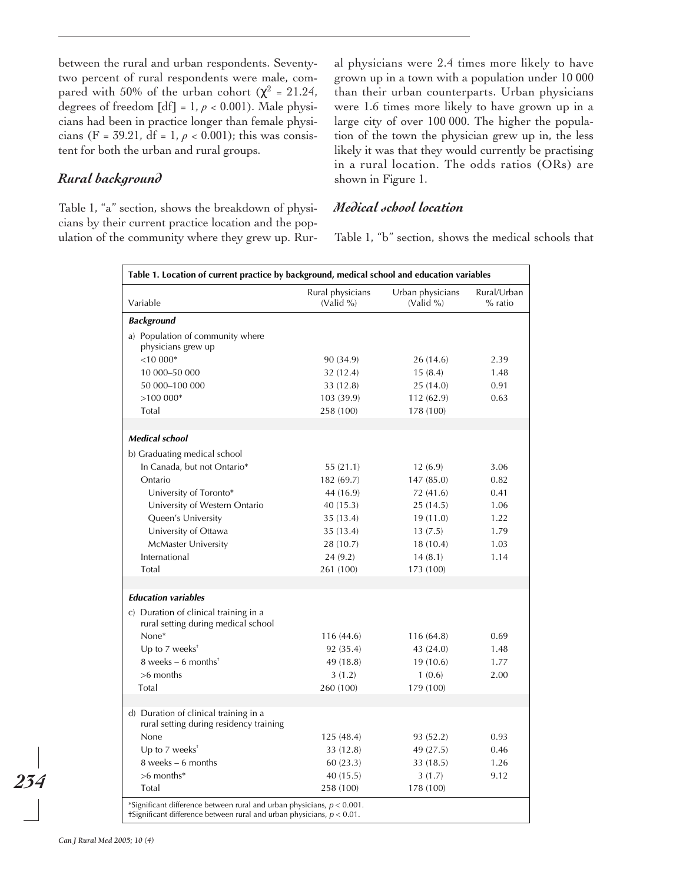between the rural and urban respondents. Seventytwo percent of rural respondents were male, compared with 50% of the urban cohort ( $\chi^2$  = 21.24, degrees of freedom  $[df] = 1, p < 0.001$ ). Male physicians had been in practice longer than female physicians (F = 39.21, df = 1,  $p < 0.001$ ); this was consistent for both the urban and rural groups.

## *Rural background*

Table 1, "a" section, shows the breakdown of physicians by their current practice location and the population of the community where they grew up. Rural physicians were 2.4 times more likely to have grown up in a town with a population under 10 000 than their urban counterparts. Urban physicians were 1.6 times more likely to have grown up in a large city of over 100 000. The higher the population of the town the physician grew up in, the less likely it was that they would currently be practising in a rural location. The odds ratios (ORs) are shown in Figure 1.

## *Medical school location*

Table 1, "b" section, shows the medical schools that

| Table 1. Location of current practice by background, medical school and education variables                                                           |                               |                               |                          |
|-------------------------------------------------------------------------------------------------------------------------------------------------------|-------------------------------|-------------------------------|--------------------------|
| Variable                                                                                                                                              | Rural physicians<br>(Valid %) | Urban physicians<br>(Valid %) | Rural/Urban<br>$%$ ratio |
|                                                                                                                                                       |                               |                               |                          |
| <b>Background</b>                                                                                                                                     |                               |                               |                          |
| a) Population of community where                                                                                                                      |                               |                               |                          |
| physicians grew up<br>$< 10000*$                                                                                                                      |                               |                               | 2.39                     |
| 10 000-50 000                                                                                                                                         | 90 (34.9)                     | 26 (14.6)                     | 1.48                     |
|                                                                                                                                                       | 32 (12.4)                     | 15(8.4)                       |                          |
| 50 000-100 000<br>$>100000*$                                                                                                                          | 33 (12.8)                     | 25(14.0)                      | 0.91<br>0.63             |
| Total                                                                                                                                                 | 103 (39.9)<br>258 (100)       | 112 (62.9)<br>178 (100)       |                          |
|                                                                                                                                                       |                               |                               |                          |
| <b>Medical school</b>                                                                                                                                 |                               |                               |                          |
| b) Graduating medical school                                                                                                                          |                               |                               |                          |
| In Canada, but not Ontario*                                                                                                                           | 55(21.1)                      | 12(6.9)                       | 3.06                     |
| Ontario                                                                                                                                               | 182 (69.7)                    | 147 (85.0)                    | 0.82                     |
| University of Toronto*                                                                                                                                | 44 (16.9)                     | 72 (41.6)                     | 0.41                     |
| University of Western Ontario                                                                                                                         | 40(15.3)                      | 25(14.5)                      | 1.06                     |
| Queen's University                                                                                                                                    | 35(13.4)                      | 19(11.0)                      | 1.22                     |
| University of Ottawa                                                                                                                                  | 35 (13.4)                     | 13(7.5)                       | 1.79                     |
| McMaster University                                                                                                                                   | 28 (10.7)                     | 18(10.4)                      | 1.03                     |
| International                                                                                                                                         | 24(9.2)                       | 14(8.1)                       | 1.14                     |
| Total                                                                                                                                                 | 261 (100)                     | 173 (100)                     |                          |
|                                                                                                                                                       |                               |                               |                          |
| <b>Education variables</b>                                                                                                                            |                               |                               |                          |
| c) Duration of clinical training in a<br>rural setting during medical school                                                                          |                               |                               |                          |
| None*                                                                                                                                                 | 116 (44.6)                    | 116 (64.8)                    | 0.69                     |
| Up to $7$ weeks <sup>+</sup>                                                                                                                          | 92 (35.4)                     | 43 (24.0)                     | 1.48                     |
| 8 weeks $-6$ months <sup>*</sup>                                                                                                                      | 49 (18.8)                     | 19 (10.6)                     | 1.77                     |
| $>6$ months                                                                                                                                           | 3(1.2)                        | 1(0.6)                        | 2.00                     |
| Total                                                                                                                                                 | 260 (100)                     | 179 (100)                     |                          |
|                                                                                                                                                       |                               |                               |                          |
| d) Duration of clinical training in a<br>rural setting during residency training                                                                      |                               |                               |                          |
| None                                                                                                                                                  | 125(48.4)                     | 93 (52.2)                     | 0.93                     |
| Up to 7 weeks <sup>+</sup>                                                                                                                            | 33 (12.8)                     | 49 (27.5)                     | 0.46                     |
| $8$ weeks $-6$ months                                                                                                                                 | 60(23.3)                      | 33 (18.5)                     | 1.26                     |
| >6 months*                                                                                                                                            | 40(15.5)                      | 3(1.7)                        | 9.12                     |
| Total                                                                                                                                                 | 258 (100)                     | 178 (100)                     |                          |
| *Significant difference between rural and urban physicians, $p < 0.001$ .<br>+Significant difference between rural and urban physicians, $p < 0.01$ . |                               |                               |                          |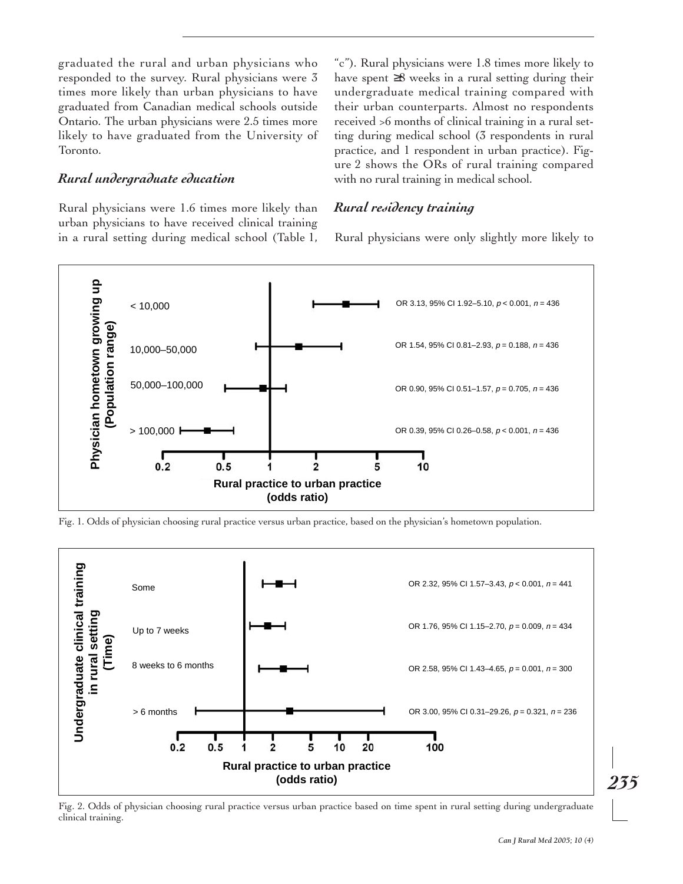graduated the rural and urban physicians who responded to the survey. Rural physicians were 3 times more likely than urban physicians to have graduated from Canadian medical schools outside Ontario. The urban physicians were 2.5 times more likely to have graduated from the University of Toronto.

## *Rural undergraduate education*

Rural physicians were 1.6 times more likely than urban physicians to have received clinical training in a rural setting during medical school (Table 1, "c"). Rural physicians were 1.8 times more likely to have spent ≥8 weeks in a rural setting during their undergraduate medical training compared with their urban counterparts. Almost no respondents received >6 months of clinical training in a rural setting during medical school (3 respondents in rural practice, and 1 respondent in urban practice). Figure 2 shows the ORs of rural training compared with no rural training in medical school.

## *Rural residency training*

Rural physicians were only slightly more likely to



Fig. 1. Odds of physician choosing rural practice versus urban practice, based on the physician's hometown population.



Fig. 2. Odds of physician choosing rural practice versus urban practice based on time spent in rural setting during undergraduate clinical training.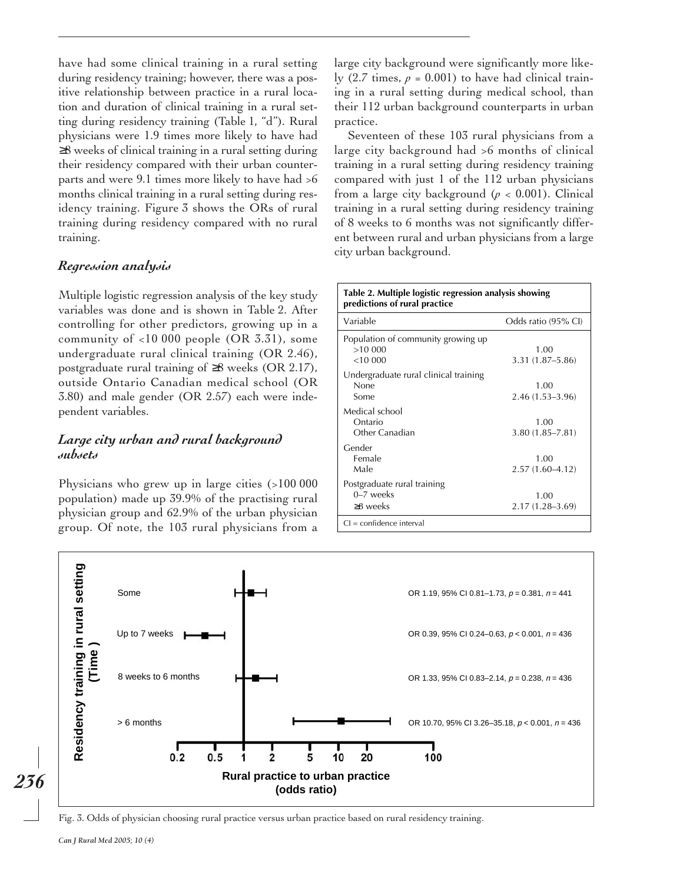have had some clinical training in a rural setting during residency training; however, there was a positive relationship between practice in a rural location and duration of clinical training in a rural setting during residency training (Table 1, "d"). Rural physicians were 1.9 times more likely to have had ≥8 weeks of clinical training in a rural setting during their residency compared with their urban counterparts and were 9.1 times more likely to have had >6 months clinical training in a rural setting during residency training. Figure 3 shows the ORs of rural training during residency compared with no rural training.

## *Regression analysis*

Multiple logistic regression analysis of the key study variables was done and is shown in Table 2. After controlling for other predictors, growing up in a community of <10 000 people (OR 3.31), some undergraduate rural clinical training (OR 2.46), postgraduate rural training of ≥8 weeks (OR 2.17), outside Ontario Canadian medical school (OR 3.80) and male gender (OR 2.57) each were independent variables.

## *Large city urban and rural background subsets*

Physicians who grew up in large cities (>100 000 population) made up 39.9% of the practising rural physician group and 62.9% of the urban physician group. Of note, the 103 rural physicians from a

large city background were significantly more likely  $(2.7 \text{ times}, p = 0.001)$  to have had clinical training in a rural setting during medical school, than their 112 urban background counterparts in urban practice.

Seventeen of these 103 rural physicians from a large city background had >6 months of clinical training in a rural setting during residency training compared with just 1 of the 112 urban physicians from a large city background ( $p < 0.001$ ). Clinical training in a rural setting during residency training of 8 weeks to 6 months was not significantly different between rural and urban physicians from a large city urban background.

| Variable                              | Odds ratio (95% CI) |  |
|---------------------------------------|---------------------|--|
| Population of community growing up    |                     |  |
| >10000                                | 1.00                |  |
| <10,000                               | 3.31 (1.87–5.86)    |  |
| Undergraduate rural clinical training |                     |  |
| None                                  | 1.00                |  |
| Some                                  | $2.46(1.53 - 3.96)$ |  |
| Medical school                        |                     |  |
| Ontario                               | 1.00                |  |
| Other Canadian                        | $3.80(1.85 - 7.81)$ |  |
|                                       |                     |  |
| Gender                                |                     |  |
| Female                                | 1.00                |  |
| Male                                  | $2.57(1.60 - 4.12)$ |  |
| Postgraduate rural training           |                     |  |
| $0-7$ weeks                           | 1.00                |  |
| $\geq$ 8 weeks                        | $2.17(1.28 - 3.69)$ |  |



Fig. 3. Odds of physician choosing rural practice versus urban practice based on rural residency training.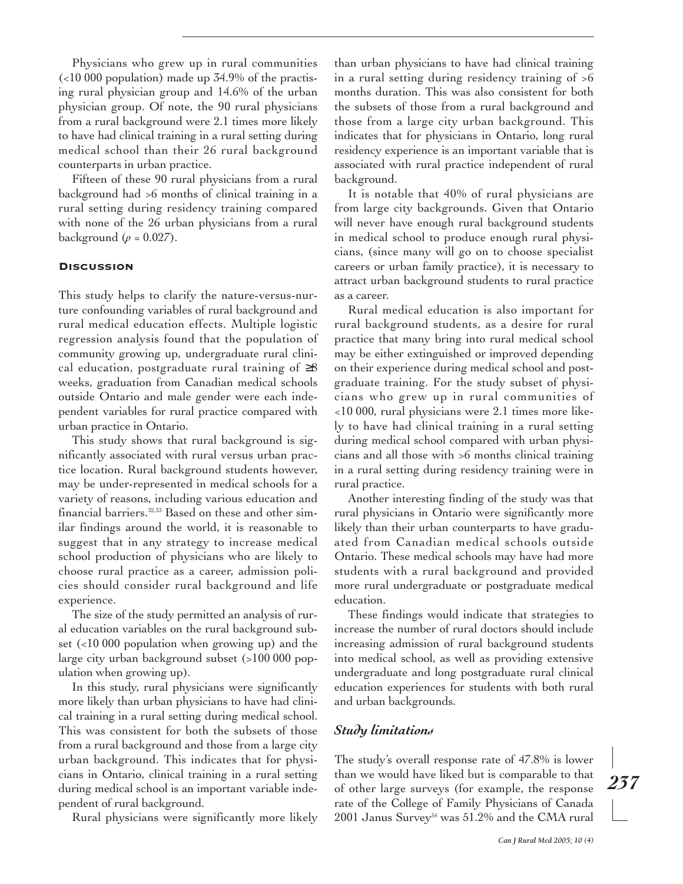Physicians who grew up in rural communities  $\left($  <10 000 population) made up 34.9% of the practising rural physician group and 14.6% of the urban physician group. Of note, the 90 rural physicians from a rural background were 2.1 times more likely to have had clinical training in a rural setting during medical school than their 26 rural background counterparts in urban practice.

Fifteen of these 90 rural physicians from a rural background had >6 months of clinical training in a rural setting during residency training compared with none of the 26 urban physicians from a rural background  $(\rho = 0.027)$ .

#### **DISCUSSION**

This study helps to clarify the nature-versus-nurture confounding variables of rural background and rural medical education effects. Multiple logistic regression analysis found that the population of community growing up, undergraduate rural clinical education, postgraduate rural training of  $\geq 8$ weeks, graduation from Canadian medical schools outside Ontario and male gender were each independent variables for rural practice compared with urban practice in Ontario.

This study shows that rural background is significantly associated with rural versus urban practice location. Rural background students however, may be under-represented in medical schools for a variety of reasons, including various education and financial barriers.32,33 Based on these and other similar findings around the world, it is reasonable to suggest that in any strategy to increase medical school production of physicians who are likely to choose rural practice as a career, admission policies should consider rural background and life experience.

The size of the study permitted an analysis of rural education variables on the rural background subset (<10 000 population when growing up) and the large city urban background subset (>100 000 population when growing up).

In this study, rural physicians were significantly more likely than urban physicians to have had clinical training in a rural setting during medical school. This was consistent for both the subsets of those from a rural background and those from a large city urban background. This indicates that for physicians in Ontario, clinical training in a rural setting during medical school is an important variable independent of rural background.

Rural physicians were significantly more likely

than urban physicians to have had clinical training in a rural setting during residency training of >6 months duration. This was also consistent for both the subsets of those from a rural background and those from a large city urban background. This indicates that for physicians in Ontario, long rural residency experience is an important variable that is associated with rural practice independent of rural background.

It is notable that 40% of rural physicians are from large city backgrounds. Given that Ontario will never have enough rural background students in medical school to produce enough rural physicians, (since many will go on to choose specialist careers or urban family practice), it is necessary to attract urban background students to rural practice as a career.

Rural medical education is also important for rural background students, as a desire for rural practice that many bring into rural medical school may be either extinguished or improved depending on their experience during medical school and postgraduate training. For the study subset of physicians who grew up in rural communities of <10 000, rural physicians were 2.1 times more likely to have had clinical training in a rural setting during medical school compared with urban physicians and all those with >6 months clinical training in a rural setting during residency training were in rural practice.

Another interesting finding of the study was that rural physicians in Ontario were significantly more likely than their urban counterparts to have graduated from Canadian medical schools outside Ontario. These medical schools may have had more students with a rural background and provided more rural undergraduate or postgraduate medical education.

These findings would indicate that strategies to increase the number of rural doctors should include increasing admission of rural background students into medical school, as well as providing extensive undergraduate and long postgraduate rural clinical education experiences for students with both rural and urban backgrounds.

## *Study limitations*

The study's overall response rate of 47.8% is lower than we would have liked but is comparable to that of other large surveys (for example, the response rate of the College of Family Physicians of Canada 2001 Janus Survey $^{34}$  was 51.2% and the CMA rural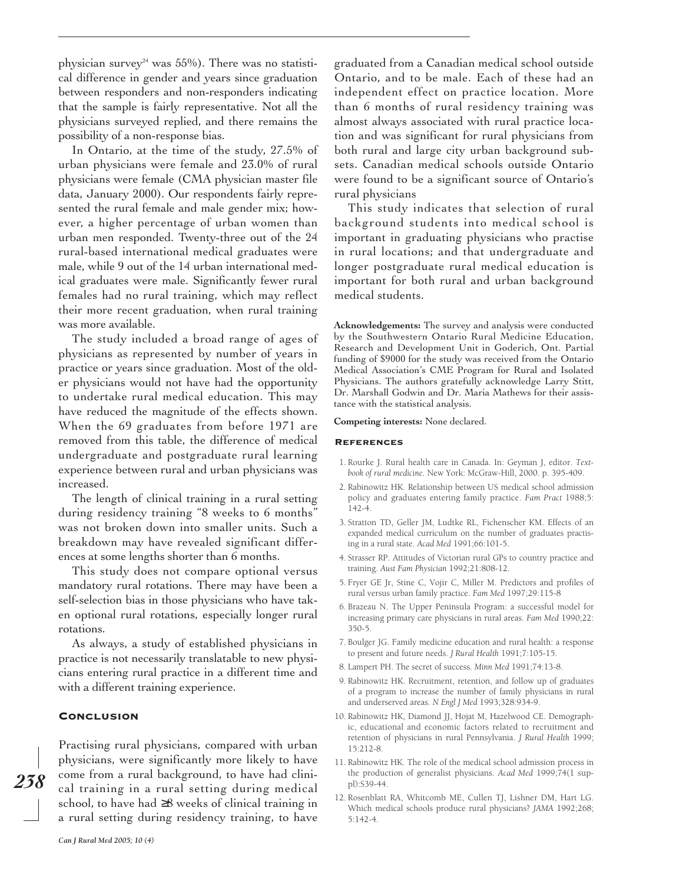physician survey<sup>24</sup> was 55%). There was no statistical difference in gender and years since graduation between responders and non-responders indicating that the sample is fairly representative. Not all the physicians surveyed replied, and there remains the possibility of a non-response bias.

In Ontario, at the time of the study, 27.5% of urban physicians were female and 23.0% of rural physicians were female (CMA physician master file data, January 2000). Our respondents fairly represented the rural female and male gender mix; however, a higher percentage of urban women than urban men responded. Twenty-three out of the 24 rural-based international medical graduates were male, while 9 out of the 14 urban international medical graduates were male. Significantly fewer rural females had no rural training, which may reflect their more recent graduation, when rural training was more available.

The study included a broad range of ages of physicians as represented by number of years in practice or years since graduation. Most of the older physicians would not have had the opportunity to undertake rural medical education. This may have reduced the magnitude of the effects shown. When the 69 graduates from before 1971 are removed from this table, the difference of medical undergraduate and postgraduate rural learning experience between rural and urban physicians was increased.

The length of clinical training in a rural setting during residency training "8 weeks to 6 months" was not broken down into smaller units. Such a breakdown may have revealed significant differences at some lengths shorter than 6 months.

This study does not compare optional versus mandatory rural rotations. There may have been a self-selection bias in those physicians who have taken optional rural rotations, especially longer rural rotations.

As always, a study of established physicians in practice is not necessarily translatable to new physicians entering rural practice in a different time and with a different training experience.

#### **CONCLUSION**

*238*

Practising rural physicians, compared with urban physicians, were significantly more likely to have come from a rural background, to have had clinical training in a rural setting during medical school, to have had ≥8 weeks of clinical training in a rural setting during residency training, to have graduated from a Canadian medical school outside Ontario, and to be male. Each of these had an independent effect on practice location. More than 6 months of rural residency training was almost always associated with rural practice location and was significant for rural physicians from both rural and large city urban background subsets. Canadian medical schools outside Ontario were found to be a significant source of Ontario's rural physicians

This study indicates that selection of rural background students into medical school is important in graduating physicians who practise in rural locations; and that undergraduate and longer postgraduate rural medical education is important for both rural and urban background medical students.

**Acknowledgements:** The survey and analysis were conducted by the Southwestern Ontario Rural Medicine Education, Research and Development Unit in Goderich, Ont. Partial funding of \$9000 for the study was received from the Ontario Medical Association's CME Program for Rural and Isolated Physicians. The authors gratefully acknowledge Larry Stitt, Dr. Marshall Godwin and Dr. Maria Mathews for their assistance with the statistical analysis.

#### **Competing interests:** None declared.

#### **REFERENCES**

- 1. Rourke J. Rural health care in Canada. In: Geyman J, editor. *Textbook of rural medicine*. New York: McGraw-Hill, 2000. p. 395-409.
- 2. Rabinowitz HK. Relationship between US medical school admission policy and graduates entering family practice. *Fam Pract* 1988;5: 142-4.
- 3. Stratton TD, Geller JM, Ludtke RL, Fichenscher KM. Effects of an expanded medical curriculum on the number of graduates practising in a rural state. *Acad Med* 1991;66:101-5.
- 4. Strasser RP. Attitudes of Victorian rural GPs to country practice and training. *Aust Fam Physician* 1992;21:808-12.
- 5. Fryer GE Jr, Stine C, Vojir C, Miller M. Predictors and profiles of rural versus urban family practice. *Fam Med* 1997;29:115-8
- 6. Brazeau N. The Upper Peninsula Program: a successful model for increasing primary care physicians in rural areas. *Fam Med* 1990;22: 350-5.
- 7. Boulger JG. Family medicine education and rural health: a response to present and future needs. *J Rural Health* 1991;7:105-15.
- 8. Lampert PH. The secret of success. *Minn Med* 1991;74:13-8.
- 9. Rabinowitz HK. Recruitment, retention, and follow up of graduates of a program to increase the number of family physicians in rural and underserved areas. *N Engl J Med* 1993;328:934-9.
- 10. Rabinowitz HK, Diamond JJ, Hojat M, Hazelwood CE. Demographic, educational and economic factors related to recruitment and retention of physicians in rural Pennsylvania. *J Rural Health* 1999; 15:212-8.
- 11. Rabinowitz HK. The role of the medical school admission process in the production of generalist physicians. *Acad Med* 1999;74(1 suppl):S39-44.
- 12. Rosenblatt RA, Whitcomb ME, Cullen TJ, Lishner DM, Hart LG. Which medical schools produce rural physicians? *JAMA* 1992;268; 5:142-4.